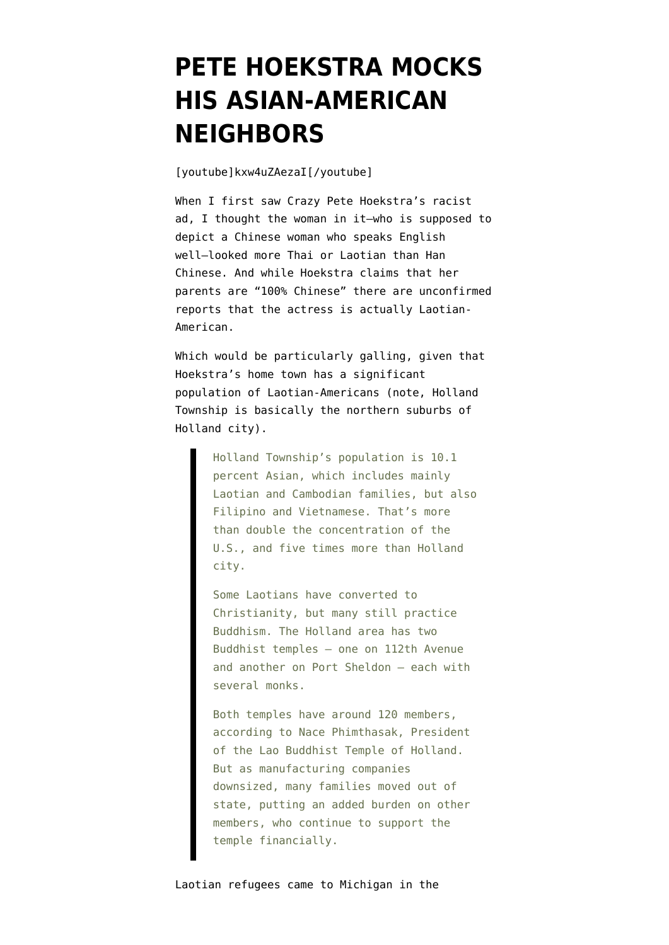## **[PETE HOEKSTRA MOCKS](https://www.emptywheel.net/2012/02/06/pete-hoekstra-mocks-his-asian-american-neighbors/) [HIS ASIAN-AMERICAN](https://www.emptywheel.net/2012/02/06/pete-hoekstra-mocks-his-asian-american-neighbors/) [NEIGHBORS](https://www.emptywheel.net/2012/02/06/pete-hoekstra-mocks-his-asian-american-neighbors/)**

[youtube]kxw4uZAezaI[/youtube]

When I first saw Crazy Pete Hoekstra's racist ad, I thought the woman in it–who is supposed to depict a Chinese woman who speaks English well–looked more Thai or Laotian than Han Chinese. And while Hoekstra [claims](http://www.freep.com/article/20120206/NEWS15/120206008/With-videos-Pete-Hoekstra-Super-Bowl-ad-slammed) that her parents are "100% Chinese" there are [unconfirmed](http://twitter.com/AKaczynski1/statuses/166583326486953984) [reports](http://twitter.com/AKaczynski1/statuses/166583326486953984) that the actress is actually Laotian-American.

Which would be particularly galling, given that Hoekstra's home town [has a significant](http://www.hollandsentinel.com/feature/x1351156066/Local-Laotian-community-embarks-on-community-center-build) [population](http://www.hollandsentinel.com/feature/x1351156066/Local-Laotian-community-embarks-on-community-center-build) of Laotian-Americans (note, Holland Township is basically the northern suburbs of Holland city).

> Holland Township's population is 10.1 percent Asian, which includes mainly Laotian and Cambodian families, but also Filipino and Vietnamese. That's more than double the concentration of the U.S., and five times more than Holland city.

Some Laotians have converted to Christianity, but many still practice Buddhism. The Holland area has two Buddhist temples — one on 112th Avenue and another on Port Sheldon — each with several monks.

Both temples have around 120 members, according to Nace Phimthasak, President of the Lao Buddhist Temple of Holland. But as manufacturing companies downsized, many families moved out of state, putting an added burden on other members, who continue to support the temple financially.

Laotian refugees came to Michigan in the